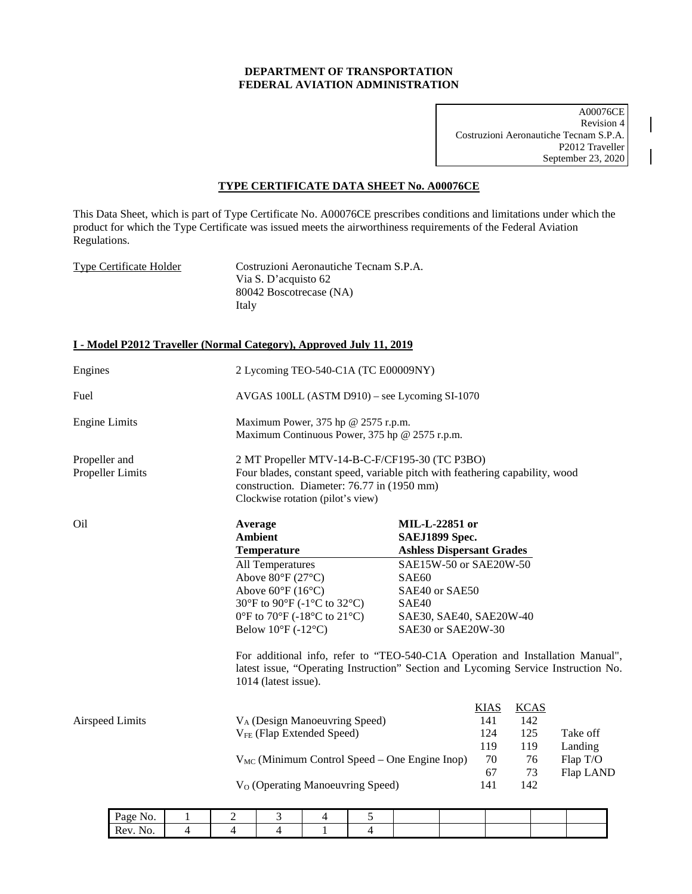## **DEPARTMENT OF TRANSPORTATION FEDERAL AVIATION ADMINISTRATION**

A00076CE Revision 4 Costruzioni Aeronautiche Tecnam S.P.A. P2012 Traveller September 23, 2020

## **TYPE CERTIFICATE DATA SHEET No. A00076CE**

This Data Sheet, which is part of Type Certificate No. A00076CE prescribes conditions and limitations under which the product for which the Type Certificate was issued meets the airworthiness requirements of the Federal Aviation Regulations.

Type Certificate Holder Costruzioni Aeronautiche Tecnam S.P.A. Via S. D'acquisto 62 80042 Boscotrecase (NA) Italy

## **I - Model P2012 Traveller (Normal Category), Approved July 11, 2019**

Rev. No. | 4 | 4 | 4 | 1 | 4

| Engines                           |   | 2 Lycoming TEO-540-C1A (TC E00009NY)                                                                                                                                                                              |                                                                                                                                                                                                                                                    |   |   |                                                                                                                                                                                            |  |                                                     |                                                     |                                                                                                                                                                      |
|-----------------------------------|---|-------------------------------------------------------------------------------------------------------------------------------------------------------------------------------------------------------------------|----------------------------------------------------------------------------------------------------------------------------------------------------------------------------------------------------------------------------------------------------|---|---|--------------------------------------------------------------------------------------------------------------------------------------------------------------------------------------------|--|-----------------------------------------------------|-----------------------------------------------------|----------------------------------------------------------------------------------------------------------------------------------------------------------------------|
| Fuel                              |   | AVGAS 100LL (ASTM D910) – see Lycoming SI-1070                                                                                                                                                                    |                                                                                                                                                                                                                                                    |   |   |                                                                                                                                                                                            |  |                                                     |                                                     |                                                                                                                                                                      |
| <b>Engine Limits</b>              |   | Maximum Power, 375 hp @ 2575 r.p.m.<br>Maximum Continuous Power, 375 hp @ 2575 r.p.m.                                                                                                                             |                                                                                                                                                                                                                                                    |   |   |                                                                                                                                                                                            |  |                                                     |                                                     |                                                                                                                                                                      |
| Propeller and<br>Propeller Limits |   | 2 MT Propeller MTV-14-B-C-F/CF195-30 (TC P3BO)<br>Four blades, constant speed, variable pitch with feathering capability, wood<br>construction. Diameter: 76.77 in (1950 mm)<br>Clockwise rotation (pilot's view) |                                                                                                                                                                                                                                                    |   |   |                                                                                                                                                                                            |  |                                                     |                                                     |                                                                                                                                                                      |
| Oil                               |   |                                                                                                                                                                                                                   | Average<br><b>Ambient</b><br><b>Temperature</b><br>All Temperatures<br>Above 80°F (27°C)<br>Above $60^{\circ}F(16^{\circ}C)$<br>30°F to 90°F (-1°C to 32°C)<br>0°F to 70°F (-18°C to 21°C)<br>Below $10^{\circ}$ F (-12°C)<br>1014 (latest issue). |   |   | <b>MIL-L-22851 or</b><br>SAEJ1899 Spec.<br><b>Ashless Dispersant Grades</b><br>SAE15W-50 or SAE20W-50<br>SAE60<br>SAE40 or SAE50<br>SAE40<br>SAE30, SAE40, SAE20W-40<br>SAE30 or SAE20W-30 |  |                                                     |                                                     | For additional info, refer to "TEO-540-C1A Operation and Installation Manual",<br>latest issue, "Operating Instruction" Section and Lycoming Service Instruction No. |
| <b>Airspeed Limits</b>            |   |                                                                                                                                                                                                                   | V <sub>A</sub> (Design Manoeuvring Speed)<br>V <sub>FE</sub> (Flap Extended Speed)<br>V <sub>O</sub> (Operating Manoeuvring Speed)                                                                                                                 |   |   | $V_{MC}$ (Minimum Control Speed – One Engine Inop)                                                                                                                                         |  | <b>KIAS</b><br>141<br>124<br>119<br>70<br>67<br>141 | <b>KCAS</b><br>142<br>125<br>119<br>76<br>73<br>142 | Take off<br>Landing<br>Flap T/O<br>Flap LAND                                                                                                                         |
| Page No.                          | 1 | 2                                                                                                                                                                                                                 | 3                                                                                                                                                                                                                                                  | 4 | 5 |                                                                                                                                                                                            |  |                                                     |                                                     |                                                                                                                                                                      |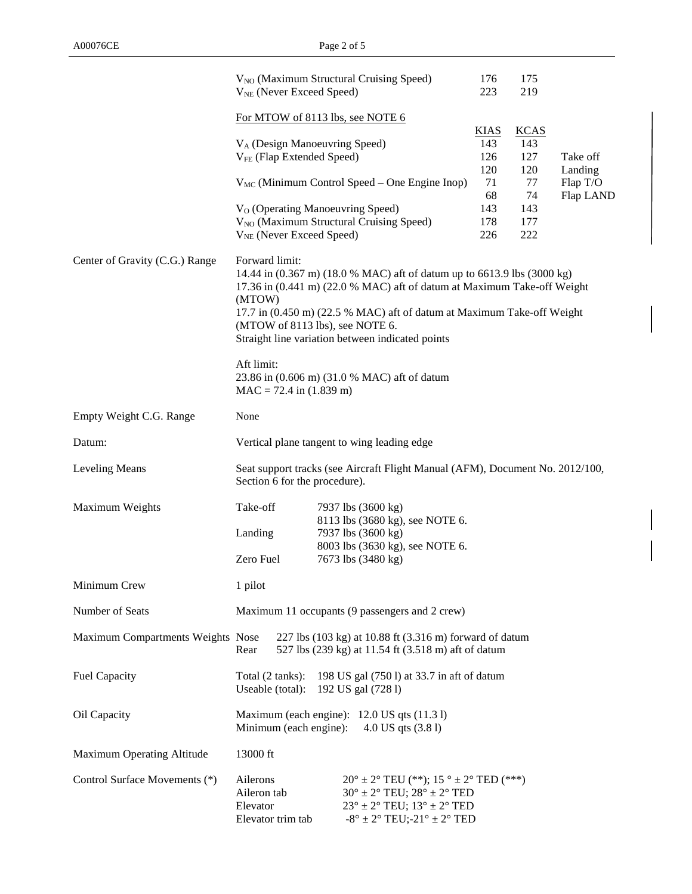|                                   | V <sub>NO</sub> (Maximum Structural Cruising Speed)<br>V <sub>NE</sub> (Never Exceed Speed)                                                                                                                                                                                                                                                     |                                                                                                                                                                                                                                                    |                                      | 175<br>219                           |                                  |  |  |
|-----------------------------------|-------------------------------------------------------------------------------------------------------------------------------------------------------------------------------------------------------------------------------------------------------------------------------------------------------------------------------------------------|----------------------------------------------------------------------------------------------------------------------------------------------------------------------------------------------------------------------------------------------------|--------------------------------------|--------------------------------------|----------------------------------|--|--|
|                                   | For MTOW of 8113 lbs, see NOTE 6<br><u>KIAS</u>                                                                                                                                                                                                                                                                                                 |                                                                                                                                                                                                                                                    |                                      |                                      |                                  |  |  |
|                                   | V <sub>A</sub> (Design Manoeuvring Speed)<br>V <sub>FE</sub> (Flap Extended Speed)                                                                                                                                                                                                                                                              |                                                                                                                                                                                                                                                    |                                      | <b>KCAS</b><br>143<br>127            | Take off                         |  |  |
|                                   |                                                                                                                                                                                                                                                                                                                                                 | $V_{MC}$ (Minimum Control Speed – One Engine Inop)                                                                                                                                                                                                 | 120<br>71<br>68<br>143<br>178<br>226 | 120<br>77<br>74<br>143<br>177<br>222 | Landing<br>Flap T/O<br>Flap LAND |  |  |
|                                   | V <sub>NE</sub> (Never Exceed Speed)                                                                                                                                                                                                                                                                                                            | V <sub>O</sub> (Operating Manoeuvring Speed)<br>V <sub>NO</sub> (Maximum Structural Cruising Speed)                                                                                                                                                |                                      |                                      |                                  |  |  |
| Center of Gravity (C.G.) Range    | Forward limit:<br>14.44 in (0.367 m) (18.0 % MAC) aft of datum up to 6613.9 lbs (3000 kg)<br>17.36 in (0.441 m) (22.0 % MAC) aft of datum at Maximum Take-off Weight<br>(MTOW)<br>17.7 in (0.450 m) (22.5 % MAC) aft of datum at Maximum Take-off Weight<br>(MTOW of 8113 lbs), see NOTE 6.<br>Straight line variation between indicated points |                                                                                                                                                                                                                                                    |                                      |                                      |                                  |  |  |
|                                   | Aft limit:<br>23.86 in (0.606 m) (31.0 % MAC) aft of datum<br>$MAC = 72.4$ in $(1.839$ m)                                                                                                                                                                                                                                                       |                                                                                                                                                                                                                                                    |                                      |                                      |                                  |  |  |
| Empty Weight C.G. Range           | None                                                                                                                                                                                                                                                                                                                                            |                                                                                                                                                                                                                                                    |                                      |                                      |                                  |  |  |
| Datum:                            | Vertical plane tangent to wing leading edge                                                                                                                                                                                                                                                                                                     |                                                                                                                                                                                                                                                    |                                      |                                      |                                  |  |  |
| Leveling Means                    | Seat support tracks (see Aircraft Flight Manual (AFM), Document No. 2012/100,<br>Section 6 for the procedure).                                                                                                                                                                                                                                  |                                                                                                                                                                                                                                                    |                                      |                                      |                                  |  |  |
| Maximum Weights                   | Take-off                                                                                                                                                                                                                                                                                                                                        | 7937 lbs (3600 kg)                                                                                                                                                                                                                                 |                                      |                                      |                                  |  |  |
|                                   | Landing                                                                                                                                                                                                                                                                                                                                         | 8113 lbs (3680 kg), see NOTE 6.<br>7937 lbs (3600 kg)                                                                                                                                                                                              |                                      |                                      |                                  |  |  |
|                                   | 8003 lbs (3630 kg), see NOTE 6.<br>Zero Fuel<br>7673 lbs (3480 kg)                                                                                                                                                                                                                                                                              |                                                                                                                                                                                                                                                    |                                      |                                      |                                  |  |  |
| Minimum Crew                      | 1 pilot                                                                                                                                                                                                                                                                                                                                         |                                                                                                                                                                                                                                                    |                                      |                                      |                                  |  |  |
| Number of Seats                   | Maximum 11 occupants (9 passengers and 2 crew)                                                                                                                                                                                                                                                                                                  |                                                                                                                                                                                                                                                    |                                      |                                      |                                  |  |  |
| Maximum Compartments Weights Nose | 227 lbs (103 kg) at 10.88 ft (3.316 m) forward of datum<br>527 lbs (239 kg) at 11.54 ft (3.518 m) aft of datum<br>Rear                                                                                                                                                                                                                          |                                                                                                                                                                                                                                                    |                                      |                                      |                                  |  |  |
| <b>Fuel Capacity</b>              | Total (2 tanks):<br>198 US gal (750 l) at 33.7 in aft of datum<br>192 US gal (728 l)<br>Useable (total):                                                                                                                                                                                                                                        |                                                                                                                                                                                                                                                    |                                      |                                      |                                  |  |  |
| Oil Capacity                      | Maximum (each engine): 12.0 US qts (11.3 l)<br>Minimum (each engine):<br>4.0 US qts (3.8 l)                                                                                                                                                                                                                                                     |                                                                                                                                                                                                                                                    |                                      |                                      |                                  |  |  |
| Maximum Operating Altitude        | 13000 ft                                                                                                                                                                                                                                                                                                                                        |                                                                                                                                                                                                                                                    |                                      |                                      |                                  |  |  |
| Control Surface Movements (*)     | Ailerons<br>Aileron tab<br>Elevator<br>Elevator trim tab                                                                                                                                                                                                                                                                                        | $20^{\circ} \pm 2^{\circ}$ TEU (**); 15 $^{\circ} \pm 2^{\circ}$ TED (***)<br>$30^\circ \pm 2^\circ$ TEU; $28^\circ \pm 2^\circ$ TED<br>$23^\circ \pm 2^\circ$ TEU; $13^\circ \pm 2^\circ$ TED<br>$-8^{\circ} \pm 2^{\circ}$ TEU;-21° $\pm$ 2° TED |                                      |                                      |                                  |  |  |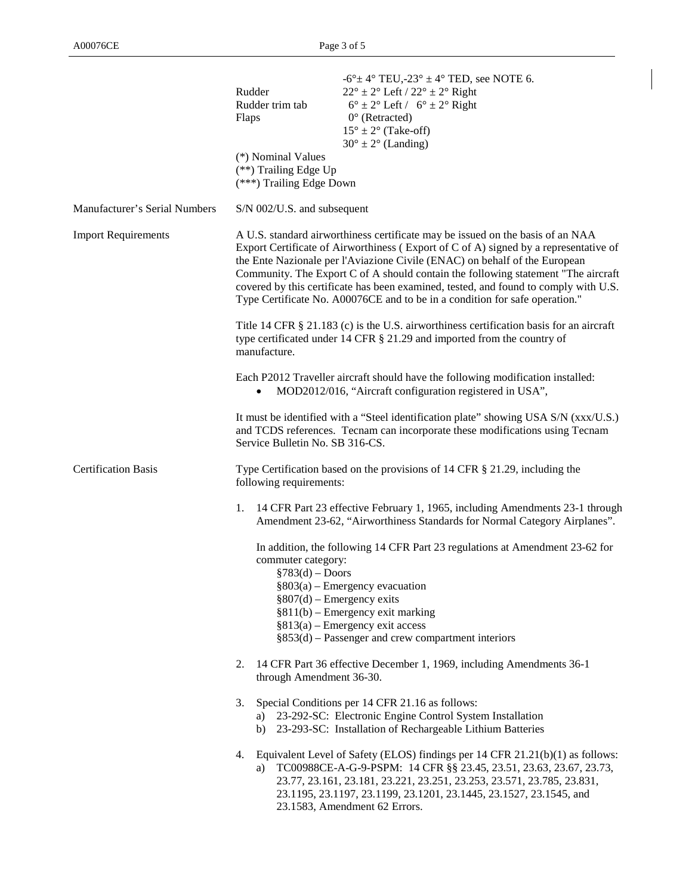|                               | Rudder<br>Rudder trim tab<br>Flaps<br>(*) Nominal Values<br>(**) Trailing Edge Up<br>(***) Trailing Edge Down                                                                                                                                                                                                                                                                                                                                                                                                    | $-6^{\circ}$ ± 4° TEU, -23° ± 4° TED, see NOTE 6.<br>$22^{\circ} \pm 2^{\circ}$ Left / $22^{\circ} \pm 2^{\circ}$ Right<br>$6^{\circ} \pm 2^{\circ}$ Left / $6^{\circ} \pm 2^{\circ}$ Right<br>$0^{\circ}$ (Retracted)<br>$15^{\circ} \pm 2^{\circ}$ (Take-off)<br>$30^{\circ} \pm 2^{\circ}$ (Landing)                              |  |  |  |  |
|-------------------------------|------------------------------------------------------------------------------------------------------------------------------------------------------------------------------------------------------------------------------------------------------------------------------------------------------------------------------------------------------------------------------------------------------------------------------------------------------------------------------------------------------------------|--------------------------------------------------------------------------------------------------------------------------------------------------------------------------------------------------------------------------------------------------------------------------------------------------------------------------------------|--|--|--|--|
| Manufacturer's Serial Numbers | S/N 002/U.S. and subsequent                                                                                                                                                                                                                                                                                                                                                                                                                                                                                      |                                                                                                                                                                                                                                                                                                                                      |  |  |  |  |
| <b>Import Requirements</b>    | A U.S. standard airworthiness certificate may be issued on the basis of an NAA<br>Export Certificate of Airworthiness (Export of C of A) signed by a representative of<br>the Ente Nazionale per l'Aviazione Civile (ENAC) on behalf of the European<br>Community. The Export C of A should contain the following statement "The aircraft<br>covered by this certificate has been examined, tested, and found to comply with U.S.<br>Type Certificate No. A00076CE and to be in a condition for safe operation." |                                                                                                                                                                                                                                                                                                                                      |  |  |  |  |
|                               | Title 14 CFR § 21.183 (c) is the U.S. airworthiness certification basis for an aircraft<br>type certificated under 14 CFR $\S$ 21.29 and imported from the country of<br>manufacture.                                                                                                                                                                                                                                                                                                                            |                                                                                                                                                                                                                                                                                                                                      |  |  |  |  |
|                               | Each P2012 Traveller aircraft should have the following modification installed:<br>MOD2012/016, "Aircraft configuration registered in USA",                                                                                                                                                                                                                                                                                                                                                                      |                                                                                                                                                                                                                                                                                                                                      |  |  |  |  |
|                               | It must be identified with a "Steel identification plate" showing USA S/N (xxx/U.S.)<br>and TCDS references. Tecnam can incorporate these modifications using Tecnam<br>Service Bulletin No. SB 316-CS.                                                                                                                                                                                                                                                                                                          |                                                                                                                                                                                                                                                                                                                                      |  |  |  |  |
| <b>Certification Basis</b>    | Type Certification based on the provisions of 14 CFR § 21.29, including the<br>following requirements:                                                                                                                                                                                                                                                                                                                                                                                                           |                                                                                                                                                                                                                                                                                                                                      |  |  |  |  |
|                               |                                                                                                                                                                                                                                                                                                                                                                                                                                                                                                                  | 1. 14 CFR Part 23 effective February 1, 1965, including Amendments 23-1 through<br>Amendment 23-62, "Airworthiness Standards for Normal Category Airplanes".                                                                                                                                                                         |  |  |  |  |
|                               | commuter category:<br>$\S 783(d) -$ Doors                                                                                                                                                                                                                                                                                                                                                                                                                                                                        | In addition, the following 14 CFR Part 23 regulations at Amendment 23-62 for<br>$§803(a)$ – Emergency evacuation<br>$§807(d)$ – Emergency exits<br>$§811(b)$ – Emergency exit marking<br>$§813(a)$ – Emergency exit access<br>$§853(d)$ – Passenger and crew compartment interiors                                                   |  |  |  |  |
|                               | 2.<br>through Amendment 36-30.                                                                                                                                                                                                                                                                                                                                                                                                                                                                                   | 14 CFR Part 36 effective December 1, 1969, including Amendments 36-1                                                                                                                                                                                                                                                                 |  |  |  |  |
|                               | 3.                                                                                                                                                                                                                                                                                                                                                                                                                                                                                                               | Special Conditions per 14 CFR 21.16 as follows:<br>a) 23-292-SC: Electronic Engine Control System Installation<br>b) 23-293-SC: Installation of Rechargeable Lithium Batteries                                                                                                                                                       |  |  |  |  |
|                               | 4.<br>a)                                                                                                                                                                                                                                                                                                                                                                                                                                                                                                         | Equivalent Level of Safety (ELOS) findings per 14 CFR 21.21(b)(1) as follows:<br>TC00988CE-A-G-9-PSPM: 14 CFR §§ 23.45, 23.51, 23.63, 23.67, 23.73,<br>23.77, 23.161, 23.181, 23.221, 23.251, 23.253, 23.571, 23.785, 23.831,<br>23.1195, 23.1197, 23.1199, 23.1201, 23.1445, 23.1527, 23.1545, and<br>23.1583, Amendment 62 Errors. |  |  |  |  |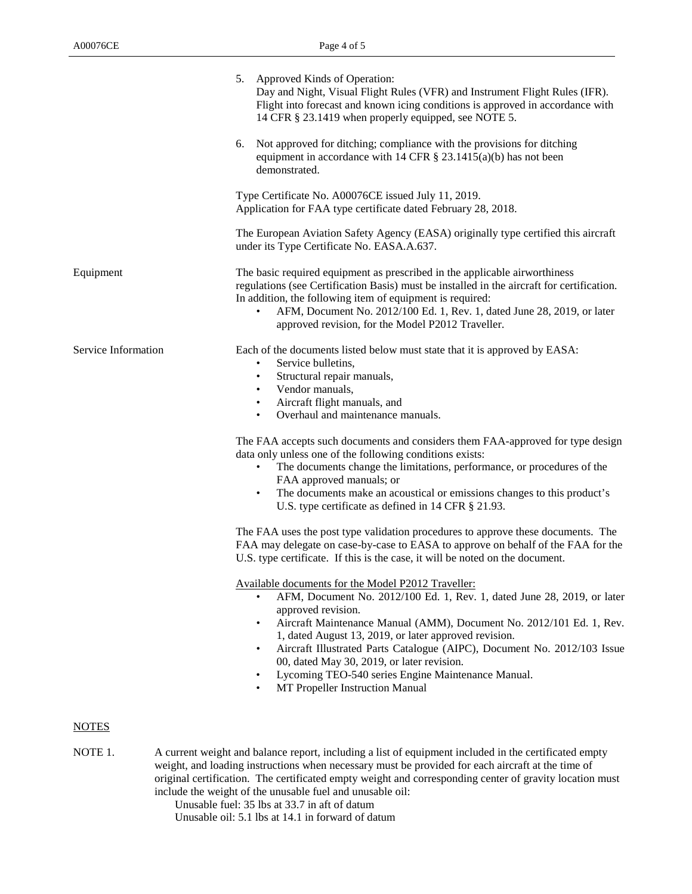|                     | 5. Approved Kinds of Operation:                                                                        | Day and Night, Visual Flight Rules (VFR) and Instrument Flight Rules (IFR).<br>Flight into forecast and known icing conditions is approved in accordance with<br>14 CFR § 23.1419 when properly equipped, see NOTE 5.                                                                                                                                                                                                                                                             |
|---------------------|--------------------------------------------------------------------------------------------------------|-----------------------------------------------------------------------------------------------------------------------------------------------------------------------------------------------------------------------------------------------------------------------------------------------------------------------------------------------------------------------------------------------------------------------------------------------------------------------------------|
|                     | 6.<br>demonstrated.                                                                                    | Not approved for ditching; compliance with the provisions for ditching<br>equipment in accordance with 14 CFR $\S$ 23.1415(a)(b) has not been                                                                                                                                                                                                                                                                                                                                     |
|                     |                                                                                                        | Type Certificate No. A00076CE issued July 11, 2019.<br>Application for FAA type certificate dated February 28, 2018.                                                                                                                                                                                                                                                                                                                                                              |
|                     |                                                                                                        | The European Aviation Safety Agency (EASA) originally type certified this aircraft<br>under its Type Certificate No. EASA.A.637.                                                                                                                                                                                                                                                                                                                                                  |
| Equipment           | $\bullet$                                                                                              | The basic required equipment as prescribed in the applicable airworthiness<br>regulations (see Certification Basis) must be installed in the aircraft for certification.<br>In addition, the following item of equipment is required:<br>AFM, Document No. 2012/100 Ed. 1, Rev. 1, dated June 28, 2019, or later<br>approved revision, for the Model P2012 Traveller.                                                                                                             |
| Service Information | Service bulletins,<br>$\bullet$<br>$\bullet$<br>Vendor manuals,<br>$\bullet$<br>$\bullet$<br>$\bullet$ | Each of the documents listed below must state that it is approved by EASA:<br>Structural repair manuals,<br>Aircraft flight manuals, and<br>Overhaul and maintenance manuals.                                                                                                                                                                                                                                                                                                     |
|                     | $\bullet$                                                                                              | The FAA accepts such documents and considers them FAA-approved for type design<br>data only unless one of the following conditions exists:<br>The documents change the limitations, performance, or procedures of the<br>FAA approved manuals; or<br>The documents make an acoustical or emissions changes to this product's<br>U.S. type certificate as defined in 14 CFR § 21.93.                                                                                               |
|                     |                                                                                                        | The FAA uses the post type validation procedures to approve these documents. The<br>FAA may delegate on case-by-case to EASA to approve on behalf of the FAA for the<br>U.S. type certificate. If this is the case, it will be noted on the document.                                                                                                                                                                                                                             |
|                     | approved revision.<br>$\bullet$                                                                        | Available documents for the Model P2012 Traveller:<br>AFM, Document No. 2012/100 Ed. 1, Rev. 1, dated June 28, 2019, or later<br>Aircraft Maintenance Manual (AMM), Document No. 2012/101 Ed. 1, Rev.<br>1, dated August 13, 2019, or later approved revision.<br>Aircraft Illustrated Parts Catalogue (AIPC), Document No. 2012/103 Issue<br>00, dated May 30, 2019, or later revision.<br>Lycoming TEO-540 series Engine Maintenance Manual.<br>MT Propeller Instruction Manual |
| <b>NOTES</b>        |                                                                                                        |                                                                                                                                                                                                                                                                                                                                                                                                                                                                                   |
| NOTE 1.             |                                                                                                        | A current weight and balance report, including a list of equipment included in the certificated empty<br>weight, and loading instructions when necessary must be provided for each aircraft at the time of<br>original certification. The certificated empty weight and corresponding center of gravity location must                                                                                                                                                             |

include the weight of the unusable fuel and unusable oil: Unusable fuel: 35 lbs at 33.7 in aft of datum Unusable oil: 5.1 lbs at 14.1 in forward of datum